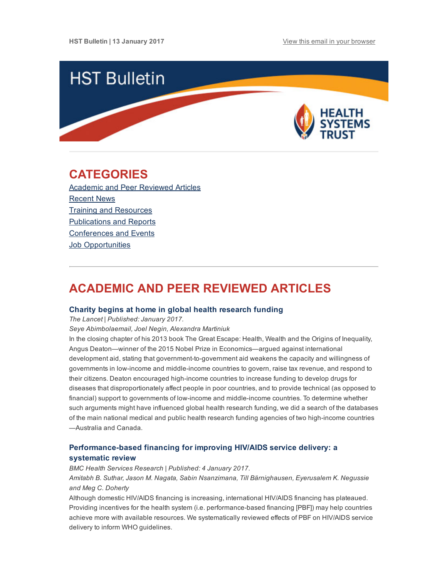

# <span id="page-0-1"></span>CATEGORIES

Academic and Peer [Reviewed](#page-0-0) Articles [Recent](#page-2-0) News Training and [Resources](#page-3-0) [Publications](#page-4-0) and Reports [Conferences](#page-4-1) and Events **Job [Opportunities](#page-4-2)** 

# <span id="page-0-0"></span>ACADEMIC AND PEER REVIEWED ARTICLES

#### Charity begins at home in global health [research](http://www.thelancet.com/journals/langlo/article/PIIS2214-109X(16)30302-3/fulltext?elsca1=etoc) funding

The Lancet | Published: January 2017.

Seye Abimbolaemail, Joel Negin, Alexandra Martiniuk

In the closing chapter of his 2013 book The Great Escape: Health, Wealth and the Origins of Inequality, Angus Deaton—winner of the 2015 Nobel Prize in Economics—argued against international development aid, stating that government-to-government aid weakens the capacity and willingness of governments in low-income and middle-income countries to govern, raise tax revenue, and respond to their citizens. Deaton encouraged high-income countries to increase funding to develop drugs for diseases that disproportionately affect people in poor countries, and to provide technical (as opposed to financial) support to governments of low-income and middle-income countries. To determine whether such arguments might have influenced global health research funding, we did a search of the databases of the main national medical and public health research funding agencies of two high-income countries —Australia and Canada.

## Performance-based financing for improving HIV/AIDS service delivery: a systematic review

BMC Health Services Research | Published: 4 January 2017. Amitabh B. Suthar, Jason M. Nagata, Sabin Nsanzimana, Till Bärnighausen, Eyerusalem K. Negussie and Meg C. Doherty

Although domestic HIV/AIDS financing is increasing, international HIV/AIDS financing has plateaued. Providing incentives for the health system (i.e. performance-based financing [PBF]) may help countries achieve more with available resources. We systematically reviewed effects of PBF on HIV/AIDS service delivery to inform WHO guidelines.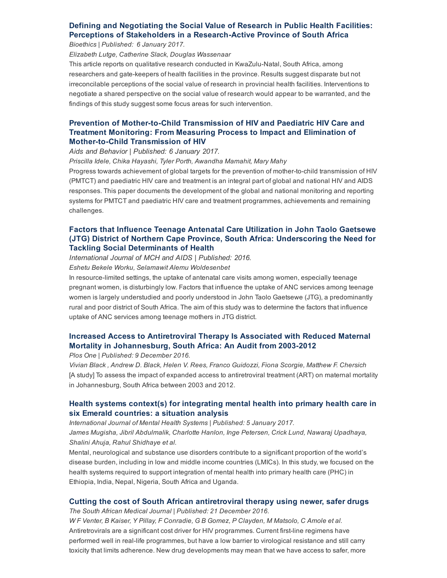## Defining and Negotiating the Social Value of Research in Public Health Facilities: Perceptions of Stakeholders in a Research-Active Province of South Africa

Bioethics | Published: 6 January 2017.

Elizabeth Lutge, Catherine Slack, Douglas Wassenaar

This article reports on qualitative research conducted in KwaZulu-Natal, South Africa, among researchers and gate-keepers of health facilities in the province. Results suggest disparate but not irreconcilable perceptions of the social value of research in provincial health facilities. Interventions to negotiate a shared perspective on the social value of research would appear to be warranted, and the findings of this study suggest some focus areas for such intervention.

## Prevention of Mother-to-Child Transmission of HIV and Paediatric HIV Care and Treatment Monitoring: From Measuring Process to Impact and Elimination of **Mother-to-Child Transmission of HIV**

Aids and Behavior | Published: 6 January 2017.

Priscilla Idele, Chika Hayashi, Tyler Porth, Awandha Mamahit, Mary Mahy

Progress towards achievement of global targets for the prevention of mother-to-child transmission of HIV (PMTCT) and paediatric HIV care and treatment is an integral part of global and national HIV and AIDS responses. This paper documents the development of the global and national monitoring and reporting systems for PMTCT and paediatric HIV care and treatment programmes, achievements and remaining challenges.

## Factors that Influence Teenage Antenatal Care Utilization in John Taolo Gaetsewe (JTG) District of Northern Cape Province, South Africa: [Underscoring](https://www.ncbi.nlm.nih.gov/pmc/articles/PMC5187645/) the Need for Tackling Social Determinants of Health

International Journal of MCH and AIDS | Published: 2016.

Eshetu Bekele Worku, Selamawit Alemu Woldesenbet

In resource-limited settings, the uptake of antenatal care visits among women, especially teenage pregnant women, is disturbingly low. Factors that influence the uptake of ANC services among teenage women is largely understudied and poorly understood in John Taolo Gaetsewe (JTG), a predominantly rural and poor district of South Africa. The aim of this study was to determine the factors that influence uptake of ANC services among teenage mothers in JTG district.

## Increased Access to Antiretroviral Therapy Is Associated with Reduced Maternal Mortality in [Johannesburg,](http://journals.plos.org/plosone/article?id=10.1371/journal.pone.0168199) South Africa: An Audit from 2003-2012

Plos One | Published: 9 December 2016.

Vivian Black , Andrew D. Black, Helen V. Rees, Franco Guidozzi, Fiona Scorgie, Matthew F. Chersich [A study] To assess the impact of expanded access to antiretroviral treatment (ART) on maternal mortality in Johannesburg, South Africa between 2003 and 2012.

## Health systems context(s) for [integrating](http://ijmhs.biomedcentral.com/articles/10.1186/s13033-016-0114-2) mental health into primary health care in six Emerald countries: a situation analysis

International Journal of Mental Health Systems | Published: 5 January 2017. James Mugisha, Jibril Abdulmalik, Charlotte Hanlon, Inge Petersen, Crick Lund, Nawaraj Upadhaya, Shalini Ahuja, Rahul Shidhaye et al.

Mental, neurological and substance use disorders contribute to a significant proportion of the world's disease burden, including in low and middle income countries (LMICs). In this study, we focused on the health systems required to support integration of mental health into primary health care (PHC) in Ethiopia, India, Nepal, Nigeria, South Africa and Uganda.

### Cutting the cost of South African [antiretroviral](http://www.samj.org.za/index.php/samj/article/view/11770/7918) therapy using newer, safer drugs

The South African Medical Journal | Published: 21 December 2016.

W F Venter, B Kaiser, Y Pillay, F Conradie, G B Gomez, P Clayden, M Matsolo, C Amole et al. Antiretrovirals are a significant cost driver for HIV programmes. Current first-line regimens have performed well in real-life programmes, but have a low barrier to virological resistance and still carry toxicity that limits adherence. New drug developments may mean that we have access to safer, more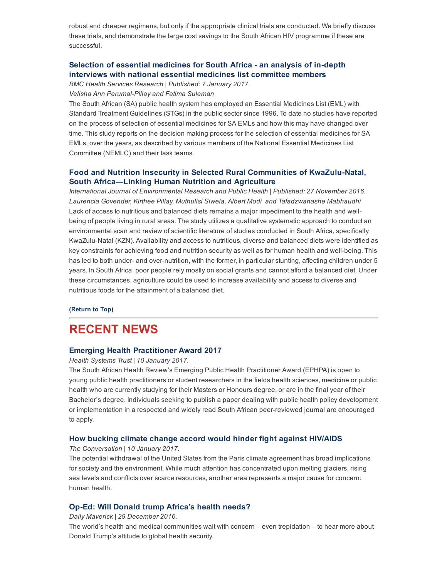robust and cheaper regimens, but only if the appropriate clinical trials are conducted. We briefly discuss these trials, and demonstrate the large cost savings to the South African HIV programme if these are successful.

## Selection of essential medicines for South Africa - an analysis of in-depth interviews with national essential medicines list [committee](http://bmchealthservres.biomedcentral.com/articles/10.1186/s12913-016-1946-9) members

BMC Health Services Research | Published: 7 January 2017.

#### Velisha Ann Perumal-Pillay and Fatima Suleman

The South African (SA) public health system has employed an Essential Medicines List (EML) with Standard Treatment Guidelines (STGs) in the public sector since 1996. To date no studies have reported on the process of selection of essential medicines for SA EMLs and how this may have changed over time. This study reports on the decision making process for the selection of essential medicines for SA EMLs, over the years, as described by various members of the National Essential Medicines List Committee (NEMLC) and their task teams.

### Food and Nutrition Insecurity in Selected Rural Communities of KwaZulu-Natal, South [Africa—Linking](http://www.mdpi.com/1660-4601/14/1/17/htm) Human Nutrition and Agriculture

International Journal of Environmental Research and Public Health | Published: 27 November 2016. Laurencia Govender, Kirthee Pillay, Muthulisi Siwela, Albert Modi and Tafadzwanashe Mabhaudhi Lack of access to nutritious and balanced diets remains a major impediment to the health and wellbeing of people living in rural areas. The study utilizes a qualitative systematic approach to conduct an environmental scan and review of scientific literature of studies conducted in South Africa, specifically KwaZulu-Natal (KZN). Availability and access to nutritious, diverse and balanced diets were identified as key constraints for achieving food and nutrition security as well as for human health and well-being. This has led to both under- and over-nutrition, with the former, in particular stunting, affecting children under 5 years. In South Africa, poor people rely mostly on social grants and cannot afford a balanced diet. Under these circumstances, agriculture could be used to increase availability and access to diverse and nutritious foods for the attainment of a balanced diet.

#### [\(Return](#page-0-1) to Top)

## <span id="page-2-0"></span>RECENT NEWS

#### Emerging Health [Practitioner](http://www.hst.org.za/news/south-african-health-review-s-emerging-public-health-practitioner-award-ephpa-2017) Award 2017

Health Systems Trust | 10 January 2017.

The South African Health Review's Emerging Public Health Practitioner Award (EPHPA) is open to young public health practitioners or student researchers in the fields health sciences, medicine or public health who are currently studying for their Masters or Honours degree, or are in the final year of their Bachelor's degree. Individuals seeking to publish a paper dealing with public health policy development or implementation in a respected and widely read South African peerreviewed journal are encouraged to apply.

### How bucking climate change accord would hinder fight against [HIV/AIDS](https://theconversation.com/how-bucking-climate-change-accord-would-hinder-fight-against-hiv-aids-69700)

The Conversation | 10 January 2017.

The potential withdrawal of the United States from the Paris climate agreement has broad implications for society and the environment. While much attention has concentrated upon melting glaciers, rising sea levels and conflicts over scarce resources, another area represents a major cause for concern: human health.

#### Op-Ed: Will Donald trump [Africa's](https://www.dailymaverick.co.za/article/2016-12-29-op-ed-will-donald-trump-africas-health-needs/#.WGzl0lV97IV) health needs?

Daily Maverick | 29 December 2016.

The world's health and medical communities wait with concern – even trepidation – to hear more about Donald Trump's attitude to global health security.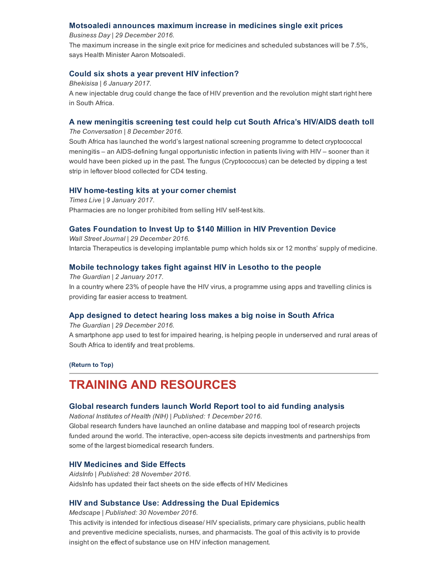### Motsoaledi [announces](https://www.businesslive.co.za/bd/national/health/2016-12-29-motsoaledi-announces-maximum-increase-in-medicines-single-exit-prices/) maximum increase in medicines single exit prices

Business Day | 29 December 2016.

The maximum increase in the single exit price for medicines and scheduled substances will be 7.5%, says Health Minister Aaron Motsoaledi.

### Could six shots a year prevent HIV [infection?](http://bhekisisa.org/article/2017-01-06-00-could-six-shots-a-year-prevent-hiv-infection)

Bhekisisa | 6 January 2017.

A new injectable drug could change the face of HIV prevention and the revolution might start right here in South Africa.

### A new [meningitis](https://theconversation.com/a-new-meningitis-screening-test-could-help-cut-south-africas-hiv-aids-deathtoll-69452) screening test could help cut South Africa's HIV/AIDS death toll

The Conversation | 8 December 2016.

South Africa has launched the world's largest national screening programme to detect cryptococcal meningitis – an AIDS-defining fungal opportunistic infection in patients living with HIV – sooner than it would have been picked up in the past. The fungus (Cryptococcus) can be detected by dipping a test strip in leftover blood collected for CD4 testing.

#### HIV home-testing kits at your corner chemist

Times Live | 9 January 2017. Pharmacies are no longer prohibited from selling HIV self-test kits.

#### Gates [Foundation](http://www.wsj.com/articles/gates-foundation-to-invest-up-to-140-million-in-hiv-prevention-device-1483023602) to Invest Up to \$140 Million in HIV Prevention Device

Wall Street Journal | 29 December 2016. Intarcia Therapeutics is developing implantable pump which holds six or 12 months' supply of medicine.

#### Mobile [technology](https://www.theguardian.com/global-development/2017/jan/02/mobile-technology-takes-fight-against-hiv-in-lesotho-to-the-people) takes fight against HIV in Lesotho to the people

The Guardian | 2 January 2017. In a country where 23% of people have the HIV virus, a programme using apps and travelling clinics is providing far easier access to treatment.

#### App [designed](https://www.theguardian.com/global-development/2016/dec/29/app-designed-to-detect-hearing-loss-makes-a-big-noise-in-south-africa) to detect hearing loss makes a big noise in South Africa

The Guardian | 29 December 2016.

A smartphone app used to test for impaired hearing, is helping people in underserved and rural areas of South Africa to identify and treat problems.

[\(Return](#page-0-1) to Top)

# <span id="page-3-0"></span>TRAINING AND RESOURCES

#### Global [research](https://worldreport.nih.gov/app/#!/) funders launch World Report tool to aid funding analysis

National Institutes of Health (NIH) | Published: 1 December 2016.

Global research funders have launched an online database and mapping tool of research projects funded around the world. The interactive, open-access site depicts investments and partnerships from some of the largest biomedical research funders.

### HIV [Medicines](https://aidsinfo.nih.gov/education-materials/fact-sheets/22/63/hiv-medicines-and-side-effects) and Side Effects

AidsInfo | Published: 28 November 2016. AidsInfo has updated their fact sheets on the side effects of HIV Medicines

#### HIV and Substance Use: [Addressing](http://www.medscape.org/viewarticle/869703_transcript) the Dual Epidemics

Medscape | Published: 30 November 2016.

This activity is intended for infectious disease/ HIV specialists, primary care physicians, public health and preventive medicine specialists, nurses, and pharmacists. The goal of this activity is to provide insight on the effect of substance use on HIV infection management.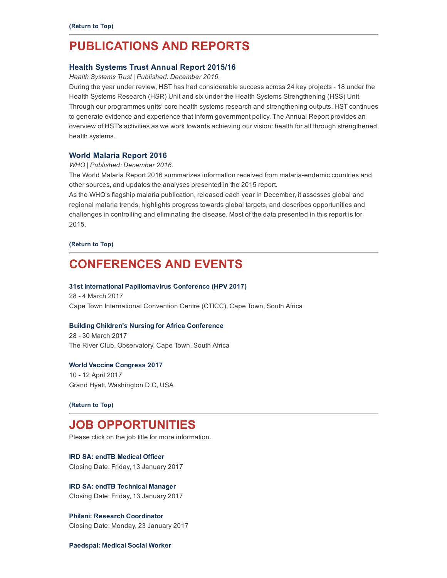# <span id="page-4-0"></span>PUBLICATIONS AND REPORTS

#### Health [Systems](http://www.hst.org.za/publications/health-systems-trust-annual-report-201516) Trust Annual Report 2015/16

Health Systems Trust | Published: December 2016.

During the year under review, HST has had considerable success across 24 key projects - 18 under the Health Systems Research (HSR) Unit and six under the Health Systems Strengthening (HSS) Unit. Through our programmes units' core health systems research and strengthening outputs, HST continues to generate evidence and experience that inform government policy. The Annual Report provides an overview of HST's activities as we work towards achieving our vision: health for all through strengthened health systems.

#### World [Malaria](http://apps.who.int/iris/bitstream/10665/252038/1/9789241511711-eng.pdf?ua=1) Report 2016

#### WHO | Published: December 2016.

The World Malaria Report 2016 summarizes information received from malaria-endemic countries and other sources, and updates the analyses presented in the 2015 report.

As the WHO's flagship malaria publication, released each year in December, it assesses global and regional malaria trends, highlights progress towards global targets, and describes opportunities and challenges in controlling and eliminating the disease. Most of the data presented in this report is for 2015.

[\(Return](#page-0-1) to Top)

# <span id="page-4-1"></span>CONFERENCES AND EVENTS

#### 31st International [Papillomavirus](http://hpv2017.org/) Conference (HPV 2017)

28 - 4 March 2017 Cape Town International Convention Centre (CTICC), Cape Town, South Africa

#### Building Children's Nursing for Africa [Conference](http://www.buildingchildrensnursing.co.za/)

28 - 30 March 2017 The River Club, Observatory, Cape Town, South Africa

#### World Vaccine [Congress](http://www.terrapinn.com/conference/world-vaccine-congress-washington/index.stm?_ga=1.51558057.187358455.1482329060) 2017

10 12 April 2017 Grand Hyatt, Washington D.C, USA

#### [\(Return](#page-0-1) to Top)

# <span id="page-4-2"></span>JOB OPPORTUNITIES

Please click on the job title for more information.

IRD SA: endTB [Medical](http://www.ngopulse.org/opportunity/2017/01/06/endtb-medical-officer) Officer Closing Date: Friday, 13 January 2017

IRD SA: endTB [Technical](http://www.ngopulse.org/opportunity/2017/01/06/endtb-technical-manager) Manager Closing Date: Friday, 13 January 2017

Philani: Research [Coordinator](http://www.ngopulse.org/opportunity/2016/12/09/research-coordinator-%E2%80%93-zithulele-research) Closing Date: Monday, 23 January 2017

[Paedspal:](http://www.ngopulse.org/opportunity/2017/01/09/half-day-medical-social-worker) Medical Social Worker